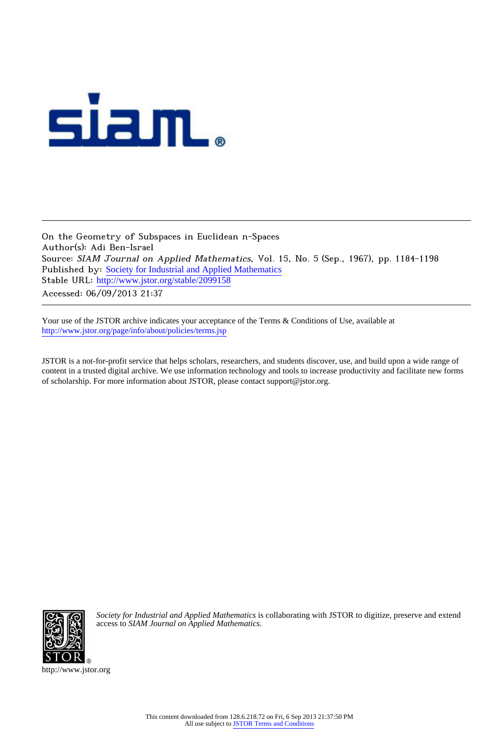

On the Geometry of Subspaces in Euclidean n-Spaces Author(s): Adi Ben-Israel Source: SIAM Journal on Applied Mathematics, Vol. 15, No. 5 (Sep., 1967), pp. 1184-1198 Published by: [Society for Industrial and Applied Mathematics](http://www.jstor.org/action/showPublisher?publisherCode=siam) Stable URL: [http://www.jstor.org/stable/2099158](http://www.jstor.org/stable/2099158?origin=JSTOR-pdf) Accessed: 06/09/2013 21:37

Your use of the JSTOR archive indicates your acceptance of the Terms & Conditions of Use, available at <http://www.jstor.org/page/info/about/policies/terms.jsp>

JSTOR is a not-for-profit service that helps scholars, researchers, and students discover, use, and build upon a wide range of content in a trusted digital archive. We use information technology and tools to increase productivity and facilitate new forms of scholarship. For more information about JSTOR, please contact support@jstor.org.



*Society for Industrial and Applied Mathematics* is collaborating with JSTOR to digitize, preserve and extend access to *SIAM Journal on Applied Mathematics.*

http://www.jstor.org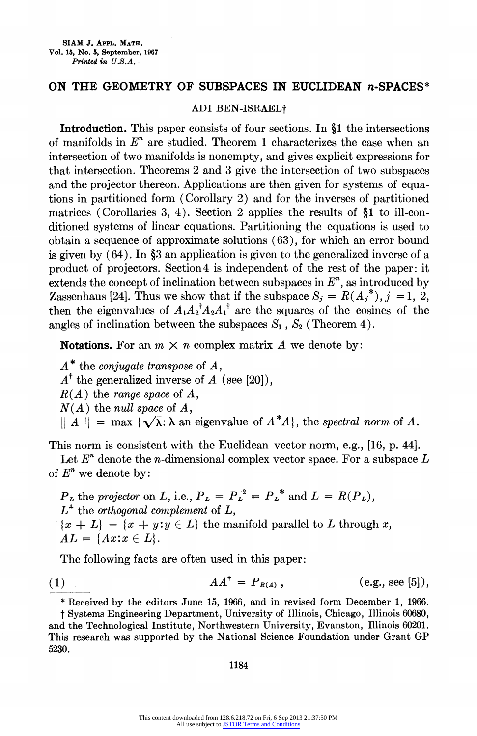## ON THE GEOMETRY OF SUBSPACES IN EUCLIDEAN n-SPACES\*

## ADI BEN-ISRAELt

Introduction. This paper consists of four sections. In §1 the intersections of manifolds in  $E<sup>n</sup>$  are studied. Theorem 1 characterizes the case when an intersection of two manifolds is nonempty, and gives explicit expressions for that intersection. Theorems 2 and 3 give the intersection of two subspaces and the projector thereon. Applications are then given for systems of equations in partitioned form (Corollary 2) and for the inverses of partitioned matrices (Corollaries 3, 4). Section 2 applies the results of  $$1$  to ill-conditioned systems of linear equations. Partitioning the equations is used to obtain a sequence of approximate solutions (63), for which an error bound is given by  $(64)$ . In §3 an application is given to the generalized inverse of a product of projectors. Section 4 is independent of the rest of the paper: it extends the concept of inclination between subspaces in  $E<sup>n</sup>$ , as introduced by Zassenhaus [24]. Thus we show that if the subspace  $S_j = R(A_j^*), j = 1, 2$ , then the eigenvalues of  $A_1A_2^A A_2A_1^{\dagger}$  are the squares of the cosines of the angles of inclination between the subspaces  $S_1$ ,  $S_2$  (Theorem 4).

**Notations.** For an  $m \times n$  complex matrix A we denote by:

 $A^*$  the *conjugate transpose* of  $A$ ,  $A^{\dagger}$  the generalized inverse of A (see [20]),  $R(A)$  the range space of A,  $N(A)$  the null space of A,  $\|A\| = \max \{\sqrt{\lambda}: \lambda \text{ an eigenvalue of } A^*A\},\$  the spectral norm of A.

This norm is consistent with the Euclidean vector norm, e.g., [16, p. 44].

Let  $E<sup>n</sup>$  denote the *n*-dimensional complex vector space. For a subspace L of  $E^n$  we denote by:

 $P_L$  the projector on L, i.e.,  $P_L = P_L^2 = P_L^*$  and  $L = R(P_L)$ ,  $L^{\perp}$  the orthogonal complement of L,  ${x + L} = {x + y : y \in L}$  the manifold parallel to L through x,  $AL = \{Ax : x \in L\}.$ 

The following facts are often used in this paper:

(1) 
$$
AA^{\dagger} = P_{R(A)}
$$
, (e.g., see [5]),

\* Received by the editors June 15, 1966, and in revised form December 1, 1966.

t Systems Engineering Department, University of Illinois, Chicago, Illinois 60680, and the Technological Institute, Northwestern University, Evanston, Illinois 60201. This research was supported by the National Science Foundation under Grant GP 5230.

1184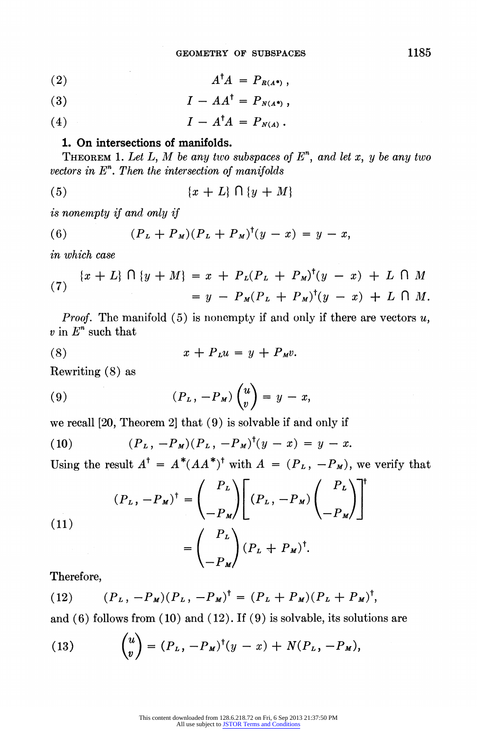$$
(2) \hspace{1cm} A^{\dagger} A = P_{R(A^*)} \, ,
$$

$$
(3) \hspace{1cm} I - AA^{\dagger} = P_{N(A^*)} \, ,
$$

(4)  $I - A^{\dagger} A = P_{N(A)}$ .

## 1. On intersections of manifolds.

THEOREM 1. Let L, M be any two subspaces of  $E<sup>n</sup>$ , and let x, y be any two vectors in  $E<sup>n</sup>$ . Then the intersection of manifolds

$$
(5) \qquad \qquad \{x+L\} \cap \{y+M\}
$$

is nonempty if and only if

(6) 
$$
(P_L + P_M)(P_L + P_M)^{\dagger}(y - x) = y - x,
$$

in which case

(7) 
$$
\{x+L\} \cap \{y+M\} = x + P_L(P_L + P_M)^{\dagger}(y-x) + L \cap M
$$

$$
= y - P_M(P_L + P_M)^{\dagger}(y-x) + L \cap M.
$$

*Proof.* The manifold  $(5)$  is nonempty if and only if there are vectors  $u$ ,  $v$  in  $E^n$  such that

$$
(8) \t x + PLu = y + PMv.
$$

Rewriting (8) as

(9) 
$$
(P_L, -P_M) \begin{pmatrix} u \\ v \end{pmatrix} = y - x,
$$

we recall [20, Theorem 2] that (9) is solvable if and only if

(10) 
$$
(P_L, -P_M)(P_L, -P_M)^{\dagger}(y - x) = y - x.
$$

Using the result  $A^{\dagger} = A^*(AA^*)^{\dagger}$  with  $A = (P_L, -P_M)$ , we verify that

(11)  

$$
(P_L, -P_M)^{\dagger} = \begin{pmatrix} P_L \\ -P_M \end{pmatrix} \begin{bmatrix} (P_L, -P_M) \begin{pmatrix} P_L \\ -P_M \end{pmatrix}^{\dagger}
$$

$$
= \begin{pmatrix} P_L \\ -P_M \end{pmatrix} (P_L + P_M)^{\dagger}.
$$

Therefore,

(12) 
$$
(P_L, -P_M)(P_L, -P_M)^{\dagger} = (P_L + P_M)(P_L + P_M)^{\dagger},
$$

and (6) follows from (10) and (12). If (9) is solvable, its solutions are

(13) 
$$
{u \choose v} = (P_L, -P_M)^{\dagger} (y - x) + N(P_L, -P_M),
$$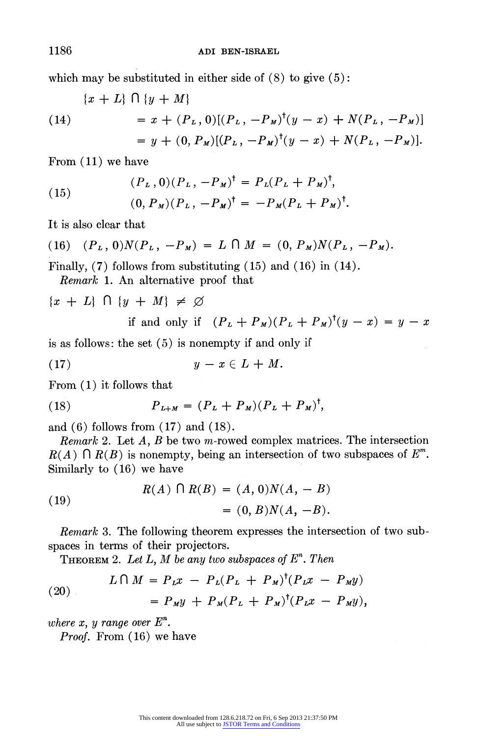which may be substituted in either side of  $(8)$  to give  $(5)$ :

(14)  
\n
$$
\begin{aligned}\n (x+L) \cap \{y+M\} \\
 &= x + (P_L, 0)[(P_L, -P_M)^{\dagger}(y-x) + N(P_L, -P_M)] \\
 &= y + (0, P_M)[(P_L, -P_M)^{\dagger}(y-x) + N(P_L, -P_M)].\n \end{aligned}
$$

From (11) we have

(15) 
$$
(P_L, 0)(P_L, -P_M)^{\dagger} = P_L(P_L + P_M)^{\dagger},
$$

$$
(0, P_M)(P_L, -P_M)^{\dagger} = -P_M(P_L + P_M)^{\dagger}.
$$

It is also clear that

(16) 
$$
(P_L, 0)N(P_L, -P_M) = L \cap M = (0, P_M)N(P_L, -P_M).
$$

Finally, (7) follows from substituting (15) and (16) in (14). Remark 1. An alternative proof that

$$
\{x + L\} \cap \{y + M\} \neq \emptyset
$$
  
if and only if  $(P_L + P_M)(P_L + P_M)^{\dagger}(y - x) = y - x$ 

is as follows: the set (5) is nonempty if and only if

$$
(17) \t\t y-x\in L+M.
$$

From  $(1)$  it follows that

(18) 
$$
P_{L+M} = (P_L + P_M)(P_L + P_M)^{\dagger},
$$

and (6) follows from (17) and (18).

*Remark* 2. Let  $A$ ,  $B$  be two m-rowed complex matrices. The intersection  $R(A) \cap R(B)$  is nonempty, being an intersection of two subspaces of  $E^m$ . Similarly to (16) we have

(19) 
$$
R(A) \cap R(B) = (A, 0)N(A, -B) = (0, B)N(A, -B).
$$

Remark 3. The following theorem expresses the intersection of two subspaces in terms of their projectors.

THEOREM 2. Let L, M be any two subspaces of  $E<sup>n</sup>$ . Then

(20) 
$$
L \bigcap M = P_L x - P_L (P_L + P_M)^{\dagger} (P_L x - P_M y) = P_M y + P_M (P_L + P_M)^{\dagger} (P_L x - P_M y),
$$

where  $x$ ,  $y$  range over  $E^n$ .

Proof. From  $(16)$  we have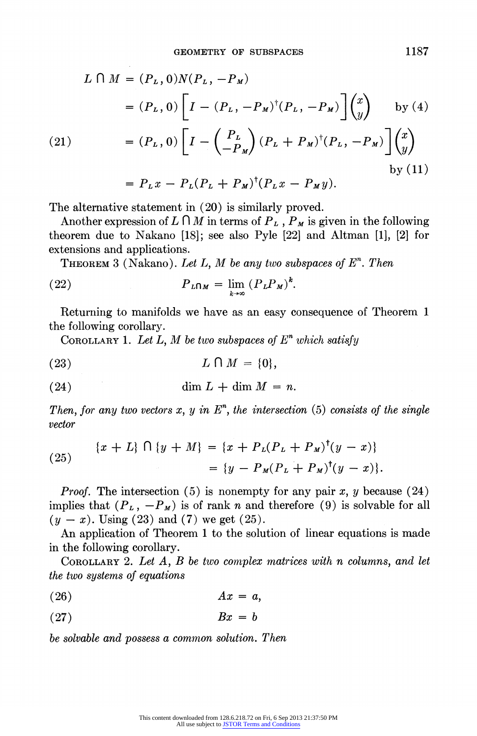$$
L \cap M = (P_L, 0)N(P_L, -P_M)
$$
  
=  $(P_L, 0) \left[ I - (P_L, -P_M)^{\dagger} (P_L, -P_M) \right] \begin{pmatrix} x \\ y \end{pmatrix}$  by (4)

(21) 
$$
= (P_L, 0) \left[ I - \begin{pmatrix} P_L \\ -P_M \end{pmatrix} (P_L + P_M)^{\dagger} (P_L, -P_M) \right] \begin{pmatrix} x \\ y \end{pmatrix}
$$

$$
= P_L x - P_L (P_L + P_M)^{\dagger} (P_L x - P_M y).
$$
by (11)

The alternative statement in (20) is similarly proved.

Another expression of  $L \cap M$  in terms of  $P_L$ ,  $P_M$  is given in the following theorem due to Nakano [18]; see also Pyle [22] and Altman [1], [2] for extensions and applications.

**THEOREM** 3 (Nakano). Let L, M be any two subspaces of  $E^n$ . Then

(22) 
$$
P_{L\cap M} = \lim_{k\to\infty} (P_L P_M)^k.
$$

Returning to manifolds we have as an easy consequence of Theorem 1 the following corollary.

COROLLARY 1. Let L, M be two subspaces of  $E<sup>n</sup>$  which satisfy

$$
(23) \tL \cap M = \{0\},\
$$

$$
(24) \t\dim L + \dim M = n.
$$

Then, for any two vectors  $x, y$  in  $E<sup>n</sup>$ , the intersection (5) consists of the single vector

(25) 
$$
\{x + L\} \cap \{y + M\} = \{x + P_L(P_L + P_M)^{\dagger}(y - x)\} = \{y - P_M(P_L + P_M)^{\dagger}(y - x)\}.
$$

*Proof.* The intersection (5) is nonempty for any pair x, y because (24) implies that  $(P_L, -P_M)$  is of rank n and therefore (9) is solvable for all  $(y - x)$ . Using (23) and (7) we get (25).

An application of Theorem 1 to the solution of linear equations is made in the following corollary.

COROLLARY 2. Let A, B be two complex matrices with n columns, and let the two systems of equations

$$
(26) \t\t\t Ax = a,
$$

$$
(27) \t\t Bx = b
$$

be solvable and possess a common solution. Then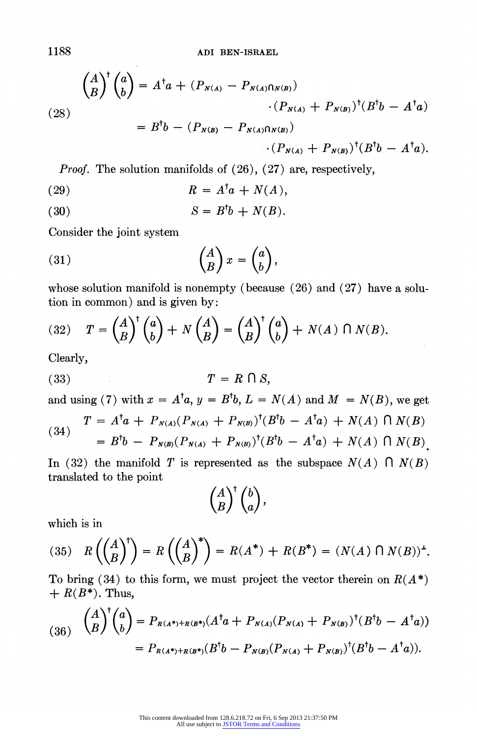(28)  
\n
$$
\binom{A}{B}^{\dagger} \binom{a}{b} = A^{\dagger} a + (P_{N(A)} - P_{N(A) \cap N(B)})
$$
\n
$$
\cdot (P_{N(A)} + P_{N(B)})^{\dagger} (B^{\dagger} b - A^{\dagger} a)
$$
\n
$$
= B^{\dagger} b - (P_{N(B)} - P_{N(A) \cap N(B)})
$$
\n
$$
\cdot (P_{N(A)} + P_{N(B)})^{\dagger} (B^{\dagger} b - A^{\dagger} a).
$$

Proof. The solution manifolds of (26), (27) are, respectively,

(29)  $R = A^{\dagger}a + N(A),$ 

(30)  $S = B^{\dagger}b + N(B).$ 

Consider the joint system

$$
(31) \qquad \qquad \binom{A}{B} x = \binom{a}{b},
$$

whose solution manifold is nonempty (because (26) and (27) have a solution in common) and is given by:

(32) 
$$
T = \begin{pmatrix} A \\ B \end{pmatrix}^{\dagger} \begin{pmatrix} a \\ b \end{pmatrix} + N \begin{pmatrix} A \\ B \end{pmatrix} = \begin{pmatrix} A \\ B \end{pmatrix}^{\dagger} \begin{pmatrix} a \\ b \end{pmatrix} + N(A) \cap N(B).
$$

Clearly,

$$
(33) \t\t T = R \cap S,
$$

and using (7) with  $x = A^{\dagger}a$ ,  $y = B^{\dagger}b$ ,  $L = N(A)$  and  $M = N(B)$ , we get

(34) 
$$
T = A^{\dagger} a + P_{N(A)} (P_{N(A)} + P_{N(B)})^{\dagger} (B^{\dagger} b - A^{\dagger} a) + N(A) \cap N(B)
$$

$$
= B^{\dagger} b - P_{N(B)} (P_{N(A)} + P_{N(B)})^{\dagger} (B^{\dagger} b - A^{\dagger} a) + N(A) \cap N(B)
$$

In (32) the manifold T is represented as the subspace  $N(A) \cap N(B)$ translated to the point

$$
\binom{A}{B}^{\dagger}\binom{b}{a},
$$

which is in

(35) 
$$
R\left(\binom{A}{B}^{+}\right) = R\left(\binom{A}{B}^{*}\right) = R(A^{*}) + R(B^{*}) = (N(A) \cap N(B))^{+}.
$$

To bring (34) to this form, we must project the vector therein on  $R(A^*)$  $+ R(B^*)$ . Thus,

$$
(36) \quad \binom{A}{B}^{\dagger} \binom{a}{b} = P_{R(A^*)+R(B^*)}(A^{\dagger}a + P_{N(A)}(P_{N(A)} + P_{N(B)})^{\dagger}(B^{\dagger}b - A^{\dagger}a))
$$

$$
= P_{R(A^*)+R(B^*)}(B^{\dagger}b - P_{N(B)}(P_{N(A)} + P_{N(B)})^{\dagger}(B^{\dagger}b - A^{\dagger}a)).
$$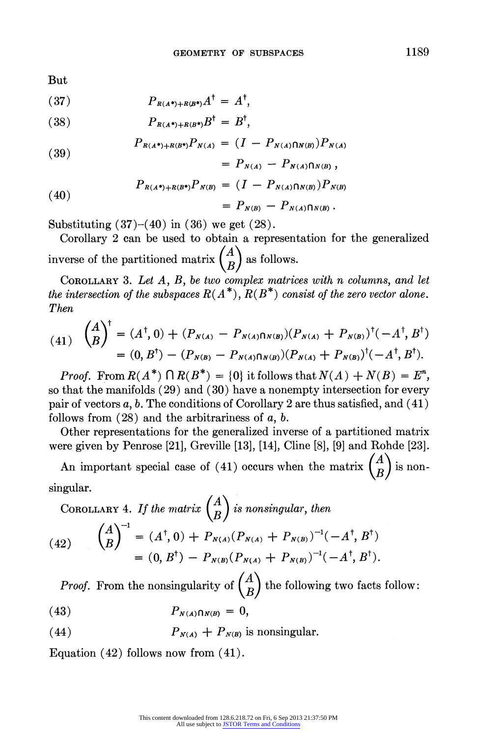But

$$
(37) \t\t P_{R(A^*)+R(B^*)}A^{\dagger} = A^{\dagger},
$$

$$
(38) \t\t P_{R(A^*)+R(B^*)}B^{\dagger} = B^{\dagger},
$$

(39) 
$$
P_{R(A^*)+R(B^*)}P_{N(A)} = (I - P_{N(A)\cap N(B)})P_{N(A)}
$$

$$
= P_{N(A)} - P_{N(A)\cap N(B)},
$$

(40)  

$$
P_{R(A^*)+R(B^*)}P_{N(B)} = (I - P_{N(A)\cap N(B)})P_{N(B)}
$$

$$
= P_{N(B)} - P_{N(A)\cap N(B)}.
$$

Substituting  $(37)-(40)$  in  $(36)$  we get  $(28)$ .

 $\sim$   $\sim$ 

Corollary 2 can be used to obtain a representation for the generalized inverse of the partitioned matrix  $\begin{pmatrix} A \\ B \end{pmatrix}$  as follows.

COROLLARY 3. Let  $A$ ,  $B$ , be two complex matrices with n columns, and let the intersection of the subspaces  $R(A^*)$ ,  $R(B^*)$  consist of the zero vector alone. Then

$$
(41) \quad \binom{A}{B}^{\dagger} = (A^{\dagger}, 0) + (P_{N(A)} - P_{N(A)\cap N(B)})(P_{N(A)} + P_{N(B)})^{\dagger}(-A^{\dagger}, B^{\dagger})
$$

$$
= (0, B^{\dagger}) - (P_{N(B)} - P_{N(A)\cap N(B)})(P_{N(A)} + P_{N(B)})^{\dagger}(-A^{\dagger}, B^{\dagger}).
$$

*Proof.* From  $R(A^*) \cap R(B^*) = \{0\}$  it follows that  $N(A) + N(B) = E^n$ , so that the manifolds (29) and (30) have a nonempty intersection for every pair of vectors  $a, b$ . The conditions of Corollary 2 are thus satisfied, and (41) follows from  $(28)$  and the arbitrariness of a, b.

Other representations for the generalized inverse of a partitioned matrix were given by Penrose [21], Greville [13], [14], Cline [8], [9] and Rohde [23].

An important special case of (41) occurs when the matrix  $\begin{pmatrix} A \\ B \end{pmatrix}$  is nonsingular.

COROLLARY 4. If the matrix 
$$
\begin{pmatrix} A \\ B \end{pmatrix}
$$
 is nonsingular, then  
\n(42)  $\begin{pmatrix} A \\ B \end{pmatrix}^{-1} = (A^{\dagger}, 0) + P_{N(A)} (P_{N(A)} + P_{N(B)})^{-1} (-A^{\dagger}, B^{\dagger})$   
\n= (0, B^{\dagger}) - P\_{N(B)} (P\_{N(A)} + P\_{N(B)})^{-1} (-A^{\dagger}, B^{\dagger}).

*Proof.* From the nonsingularity of  $\begin{pmatrix} A \\ B \end{pmatrix}$  the following two facts follow:

$$
(43) \hspace{1cm} P_{N(A)\bigcap N(B)} = 0,
$$

(44) 
$$
P_{N(A)} + P_{N(B)} \text{ is nonsingular.}
$$

Equation (42) follows now from (41).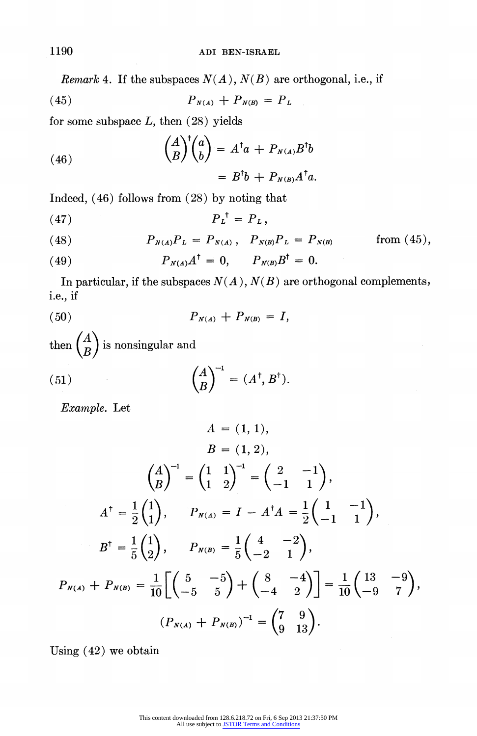Remark 4. If the subspaces  $N(A)$ ,  $N(B)$  are orthogonal, i.e., if

(45) 
$$
P_{N(A)} + P_{N(B)} = P_L
$$

for some subspace  $L$ , then  $(28)$  yields

(46)  
\n
$$
\binom{A}{B}^{\dagger} \binom{a}{b} = A^{\dagger} a + P_{N(A)} B^{\dagger} b
$$
\n
$$
= B^{\dagger} b + P_{N(B)} A^{\dagger} a.
$$

Indeed, (46) follows from (28) by noting that

$$
(47) \t\t\t P_L^{\dagger} = P_L,
$$

(48) 
$$
P_{N(A)}P_L = P_{N(A)}, \quad P_{N(B)}P_L = P_{N(B)} \quad \text{from (45)},
$$

(49) 
$$
P_{N(A)}A^{\dagger} = 0, \qquad P_{N(B)}B^{\dagger} = 0.
$$

In particular, if the subspaces  $N(A)$ ,  $N(B)$  are orthogonal complements, i.e., if

$$
(50) \t\t P_{N(A)} + P_{N(B)} = I,
$$

then  $\begin{pmatrix} A \\ B \end{pmatrix}$  is nonsingular and

(51) 
$$
\begin{pmatrix} A \\ B \end{pmatrix}^{-1} = (A^{\dagger}, B^{\dagger}).
$$

Example. Let

$$
A = (1, 1),
$$
  
\n
$$
B = (1, 2),
$$
  
\n
$$
\begin{pmatrix} A \\ B \end{pmatrix}^{-1} = \begin{pmatrix} 1 & 1 \\ 1 & 2 \end{pmatrix}^{-1} = \begin{pmatrix} 2 & -1 \\ -1 & 1 \end{pmatrix},
$$
  
\n
$$
A^{\dagger} = \frac{1}{2} \begin{pmatrix} 1 \\ 1 \end{pmatrix}, \qquad P_{N(A)} = I - A^{\dagger} A = \frac{1}{2} \begin{pmatrix} 1 & -1 \\ -1 & 1 \end{pmatrix},
$$
  
\n
$$
B^{\dagger} = \frac{1}{5} \begin{pmatrix} 1 \\ 2 \end{pmatrix}, \qquad P_{N(B)} = \frac{1}{5} \begin{pmatrix} 4 & -2 \\ -2 & 1 \end{pmatrix},
$$
  
\n
$$
P_{N(A)} + P_{N(B)} = \frac{1}{10} \left[ \begin{pmatrix} 5 & -5 \\ -5 & 5 \end{pmatrix} + \begin{pmatrix} 8 & -4 \\ -4 & 2 \end{pmatrix} \right] = \frac{1}{10} \begin{pmatrix} 13 & -9 \\ -9 & 7 \end{pmatrix},
$$
  
\n
$$
(P_{N(A)} + P_{N(B)})^{-1} = \begin{pmatrix} 7 & 9 \\ 9 & 13 \end{pmatrix}.
$$

Using (42) we obtain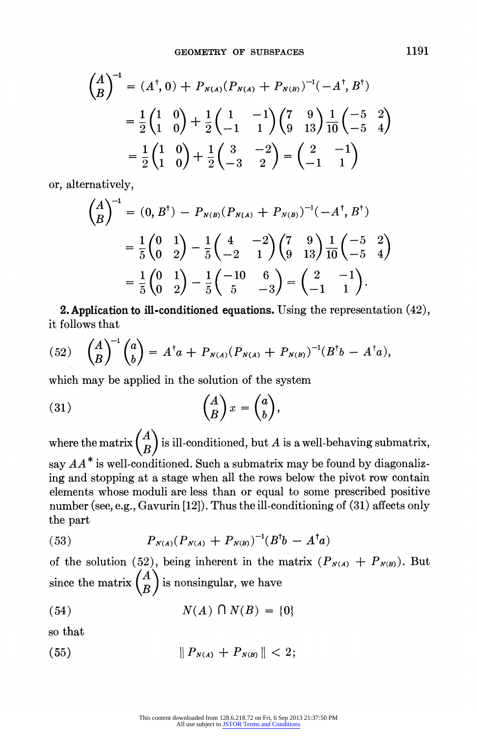$$
\begin{aligned}\n\left(\begin{matrix} A \\ B \end{matrix}\right)^{-1} &= (A^{\dagger}, 0) + P_{N(A)} (P_{N(A)} + P_{N(B)})^{-1} (-A^{\dagger}, B^{\dagger}) \\
&= \frac{1}{2} \begin{pmatrix} 1 & 0 \\ 1 & 0 \end{pmatrix} + \frac{1}{2} \begin{pmatrix} 1 & -1 \\ -1 & 1 \end{pmatrix} \begin{pmatrix} 7 & 9 \\ 9 & 13 \end{pmatrix} \frac{1}{10} \begin{pmatrix} -5 & 2 \\ -5 & 4 \end{pmatrix} \\
&= \frac{1}{2} \begin{pmatrix} 1 & 0 \\ 1 & 0 \end{pmatrix} + \frac{1}{2} \begin{pmatrix} 3 & -2 \\ -3 & 2 \end{pmatrix} = \begin{pmatrix} 2 & -1 \\ -1 & 1 \end{pmatrix}\n\end{aligned}
$$

or, alternatively,

$$
\begin{aligned}\n\binom{A}{B}^{-1} &= (0, B^{\dagger}) - P_{N(B)} (P_{N(A)} + P_{N(B)})^{-1} (-A^{\dagger}, B^{\dagger}) \\
&= \frac{1}{5} \binom{0}{0} \frac{1}{2} - \frac{1}{5} \binom{4}{-2} \frac{2}{1} \binom{7}{9} \frac{1}{13} \frac{1}{10} \binom{-5}{-5} \frac{2}{4} \\
&= \frac{1}{5} \binom{0}{0} \frac{1}{2} - \frac{1}{5} \binom{-10}{5} \frac{6}{-3} = \binom{2}{-1} \frac{1}{1}.\n\end{aligned}
$$

**2. Application to ill-conditioned equations.** Using the representation  $(42)$ , it follows that

(52) 
$$
\binom{A}{B}^{-1}\binom{a}{b} = A^{\dagger}a + P_{N(A)}(P_{N(A)} + P_{N(B)})^{-1}(B^{\dagger}b - A^{\dagger}a),
$$

which may be applied in the solution of the system

(31) 
$$
\begin{pmatrix} A \\ B \end{pmatrix} x = \begin{pmatrix} a \\ b \end{pmatrix},
$$

where the matrix  $\begin{pmatrix} A \\ B \end{pmatrix}$  is ill-conditioned, but A is a well-behaving submatrix, say  $AA^*$  is well-conditioned. Such a submatrix may be found by diagonalizing and stopping at a stage when all the rows below the pivot row contain elements whose moduli are less than or equal to some prescribed positive number (see, e.g., Gavurin [12]). Thus the ill-conditioning of (31) affects only the part

$$
(53) \tP_{N(A)}(P_{N(A)} + P_{N(B)})^{-1}(B^{\dagger}b - A^{\dagger}a)
$$

of the solution (52), being inherent in the matrix  $(P_{N(A)} + P_{N(B)})$ . But since the matrix  $\begin{pmatrix} A \\ B \end{pmatrix}$  is nonsingular, we have

(54) 
$$
N(A) \cap N(B) = \{0\}
$$

so that

$$
(55) \t\t\t\t \| P_{N(A)} + P_{N(B)} \| < 2;
$$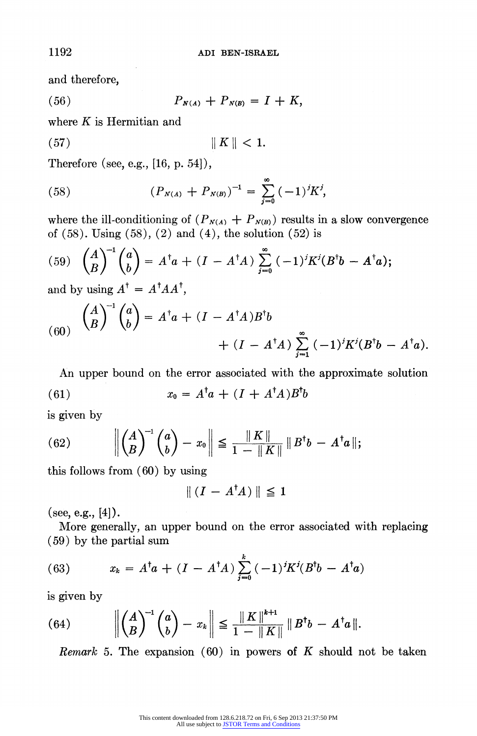and therefore,

(56)  $P_{N(A)} + P_{N(B)} = I + K$ 

where  $K$  is Hermitian and

$$
(57) \t\t\t\t \parallel K \parallel < 1.
$$

Therefore (see, e.g., [16, p. 54]),

(58) 
$$
(P_{N(A)} + P_{N(B)})^{-1} = \sum_{j=0}^{\infty} (-1)^j K^j,
$$

where the ill-conditioning of  $(P_{N(A)} + P_{N(B)})$  results in a slow convergence of  $(58)$ . Using  $(58)$ ,  $(2)$  and  $(4)$ , the solution  $(52)$  is

(59) 
$$
\binom{A}{B}^{-1} \binom{a}{b} = A^{\dagger} a + (I - A^{\dagger} A) \sum_{j=0}^{\infty} (-1)^j K^j (B^{\dagger} b - A^{\dagger} a);
$$

and by using  $A^{\dagger} = A^{\dagger} A A^{\dagger}$ ,

(60) 
$$
\binom{A}{B}^{-1} \binom{a}{b} = A^{\dagger} a + (I - A^{\dagger} A) B^{\dagger} b
$$
  
  $+ (I - A^{\dagger} A) \sum_{j=1}^{\infty} (-1)^j K^j (B^{\dagger} b - A^{\dagger} a).$ 

An upper bound on the error associated with the approximate solution (61)  $x_0 = A^{\dagger}a + (I + A^{\dagger}A)B^{\dagger}b$ 

is given by

(62) 
$$
\left\| \binom{A}{B}^{-1} \binom{a}{b} - x_0 \right\| \leq \frac{\|K\|}{1 - \|K\|} \|B^{\dagger}b - A^{\dagger}a\|;
$$

this follows from (60) by using

$$
\| (I - A^{\dagger} A) \| \leq 1
$$

(see, e.g.,  $[4]$ ).

More generally, an upper bound on the error associated with replacing (59) by the partial sum

(63) 
$$
x_k = A^{\dagger} a + (I - A^{\dagger} A) \sum_{j=0}^k (-1)^j K^j (B^{\dagger} b - A^{\dagger} a)
$$

is given by

(64) 
$$
\left\| \begin{pmatrix} A \\ B \end{pmatrix}^{-1} \begin{pmatrix} a \\ b \end{pmatrix} - x_k \right\| \leq \frac{\| K \|^{\ell+1}}{1 - \| K \|} \| B^{\dagger} b - A^{\dagger} a \|.
$$

Remark 5. The expansion  $(60)$  in powers of K should not be taken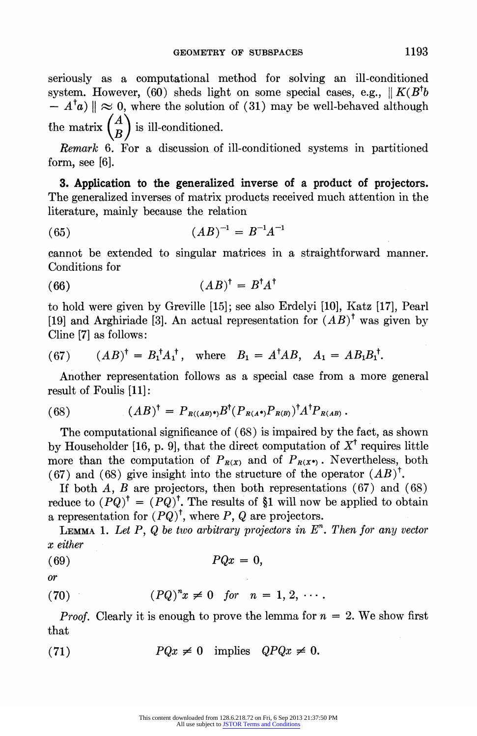seriously as a computational method for solving an ill-conditioned system. However, (60) sheds light on some special cases, e.g.,  $\|K(B^{\dagger}b)$  $-A^{\dagger}a$  |  $\approx 0$ , where the solution of (31) may be well-behaved although the matrix  $\begin{pmatrix} A \\ B \end{pmatrix}$  is ill-conditioned.

Remark 6. For a discussion of ill-conditioned systems in partitioned form, see [6].

3. Application to the generalized imverse of a product of projectors. The generalized inverses of matrix products received much attention in the literature, mainly because the relation

$$
(65) \t\t\t (AB)^{-1} = B^{-1}A^{-1}
$$

cannot be extended to singular matrices in a straightforward manner. Conditions for

$$
(66)\qquad \qquad (AB)^{\dagger} = B^{\dagger}A^{\dagger}
$$

to hold were given by Greville [15]; see also Erdelyi [10], Katz [17], Pearl [19] and Arghiriade [3]. An actual representation for  $(AB)^{\dagger}$  was given by Cline [7] as follows:

(67) 
$$
(AB)^{\dagger} = B_1^{\dagger} A_1^{\dagger}, \text{ where } B_1 = A^{\dagger} AB, A_1 = AB_1 B_1^{\dagger}.
$$

Another representation follows as a special case from a more general result of Foulis [11]:

(68) 
$$
(AB)^{\dagger} = P_{R((AB)^*)} B^{\dagger} (P_{R(A^*)} P_{R(B)})^{\dagger} A^{\dagger} P_{R(AB)}.
$$

The computational significance of (68) is impaired by the fact, as shown by Householder [16, p. 9], that the direct computation of  $X^{\dagger}$  requires little more than the computation of  $P_{R(X)}$  and of  $P_{R(X^*)}$ . Nevertheless, both (67) and (68) give insight into the structure of the operator  $(AB)^{\dagger}$ .

If both  $A, B$  are projectors, then both representations (67) and (68) reduce to  $(PQ)^{\dagger} = (PQ)^{\dagger}$ . The results of §1 will now be applied to obtain a representation for  $(PQ)^{\dagger}$ , where P, Q are projectors.

**LEMMA 1.** Let P, Q be two arbitrary projectors in  $E<sup>n</sup>$ . Then for any vector x either

$$
(69) \t\t PQx = 0,
$$

$$
or
$$

$$
(70) \qquad (PQ)^n x \neq 0 \quad \text{for} \quad n = 1, 2, \cdots.
$$

*Proof.* Clearly it is enough to prove the lemma for  $n = 2$ . We show first that

(71) 
$$
PQx \neq 0 \text{ implies } QPQx \neq 0.
$$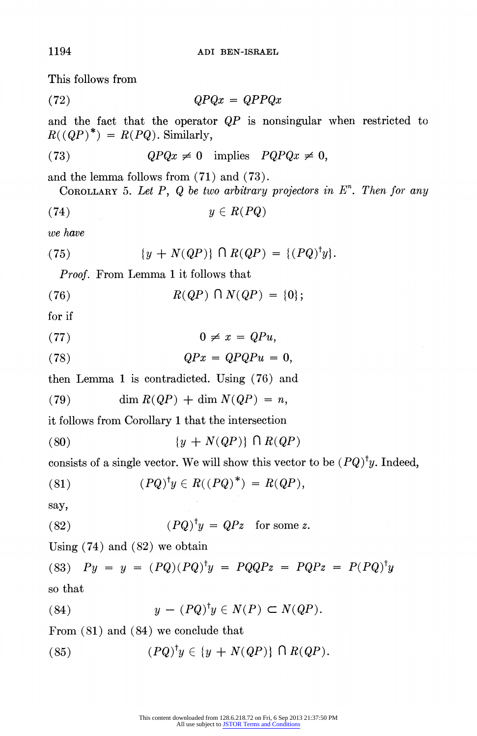This follows from

 $QPQx = QPPQx$ 

and the fact that the operator  $QP$  is nonsingular when restricted to  $R(QP)^*) = R(PQ)$ . Similarly,

(73) 
$$
QPQx \neq 0 \text{ implies } PQPQx \neq 0,
$$

and the lemma follows from (71) and (73).

COROLLARY 5. Let  $P$ ,  $Q$  be two arbitrary projectors in  $E<sup>n</sup>$ . Then for any

$$
(74) \t\t y \in R(PQ)
$$

we have

(75) 
$$
\{y + N(QP)\} \cap R(QP) = \{(PQ)^{\dagger}y\}.
$$

Proof. From Lemma 1 it follows that

(76)  $R(QP) \cap N(QP) = \{0\};$ 

for if

(77)  $0 \neq x = QPu$ ,

$$
(78) \t QPx = QPQPu = 0,
$$

then Lemma 1 is contradicted. Using (76) and

(79) dim  $R(QP) + \dim N(QP) = n$ ,

it follows from Corollary 1 that the intersection

(80)  $\{y + N(QP)\}\cap R(QP)$ 

consists of a single vector. We will show this vector to be  $(PQ)^{\dagger}y$ . Indeed,

(81) 
$$
(PQ)^{\dagger}y \in R((PQ)^*) = R(QP),
$$

say,

(82) 
$$
(PQ)^{\dagger}y = QPz \text{ for some } z.
$$

Using (74) and (82) we obtain

(83)  $Py = y = (PQ)(PQ)^{\dagger}y = PQQPz = PQPz = P(PQ)^{\dagger}y$ so that

(84) 
$$
y - (PQ)^{\dagger}y \in N(P) \subset N(QP).
$$

From (81) and (84) we conclude that

(85) 
$$
(PQ)^{\dagger}y \in \{y + N(QP)\} \cap R(QP).
$$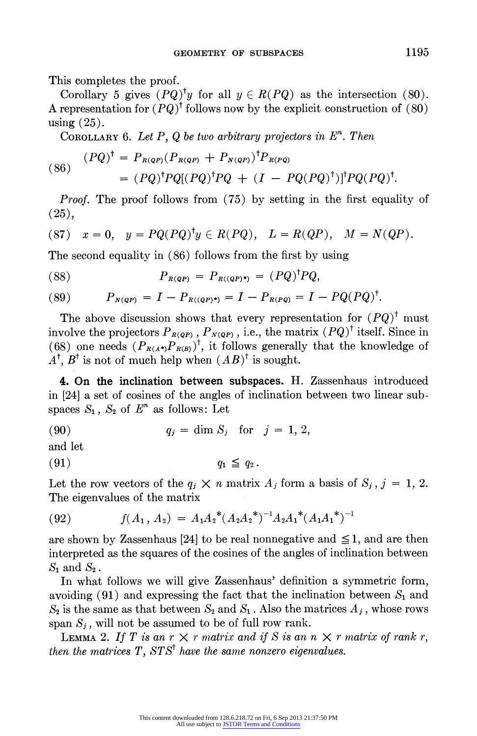This completes the proof.

Corollary 5 gives  $(PQ)^{\dagger}y$  for all  $y \in R(PQ)$  as the intersection (80). A representation for  $(PO)^{\dagger}$  follows now by the explicit construction of (80) using (25).

COROLLARY 6. Let P, Q be two arbitrary projectors in  $E<sup>n</sup>$ . Then

(86) 
$$
(PQ)^{\dagger} = P_{R(QP)}(P_{R(QP)} + P_{N(QP)})^{\dagger} P_{R(PQ)}
$$

$$
= (PQ)^{\dagger} P Q [(PQ)^{\dagger} P Q + (I - PQ(PQ)^{\dagger})]^{\dagger} P Q (PQ)^{\dagger}.
$$

Proof. The proof follows from (75) by setting in the first equality of (25),

$$
(87) \t x = 0, \t y = PQ(PQ)^{\dagger}y \in R(PQ), \t L = R(QP), \t M = N(QP).
$$

The second equality in (86) follows from the first by using

(88) 
$$
P_{R(QP)} = P_{R((QP)^*)} = (PQ)^{\dagger} P Q,
$$

(89) 
$$
P_{N(QP)} = I - P_{R((QP)^*)} = I - P_{R(PQ)} = I - PQ(PQ)^{\dagger}.
$$

The above discussion shows that every representation for  $(PQ)^{\dagger}$  must involve the projectors  $P_{R(QP)}$ ,  $P_{N(QP)}$ , i.e., the matrix  $(PQ)^{\dagger}$  itself. Since in (68) one needs  $(P_{R(A^*)}P_{R(B)})^{\dagger}$ , it follows generally that the knowledge of  $A^{\dagger}$ ,  $B^{\dagger}$  is not of much help when  $(AB)^{\dagger}$  is sought.

4. On the inclination between subspaces. H. Zassenhaus introduced in [24] a set of cosines of the angles of inclination between two linear subspaces  $S_1$ ,  $S_2$  of  $E^n$  as follows: Let

$$
(90) \t\t\t\t q_j = \dim S_j \t\t for \t j = 1, 2,
$$

and let

$$
(91) \t\t q_1 \leqq q_2.
$$

Let the row vectors of the  $q_i \times n$  matrix  $A_j$  form a basis of  $S_j$ ,  $j = 1, 2$ . The eigenvalues of the matrix

(92) 
$$
f(A_1, A_2) = A_1 A_2^* (A_2 A_2^*)^{-1} A_2 A_1^* (A_1 A_1^*)^{-1}
$$

are shown by Zassenhaus [24] to be real nonnegative and  $\leq 1$ , and are then interpreted as the squares of the cosines of the angles of inclination between  $S_1$  and  $S_2$ .

In what follows we will give Zassenhaus' definition a symmetric form, avoiding  $(91)$  and expressing the fact that the inclination between  $S_1$  and  $S_2$  is the same as that between  $S_2$  and  $S_1$ . Also the matrices  $A_j$ , whose rows span  $S_j$ , will not be assumed to be of full row rank.

LEMMA 2. If T is an  $r \times r$  matrix and if S is an  $n \times r$  matrix of rank r, then the matrices  $T$ ,  $STS<sup>†</sup>$  have the same nonzero eigenvalues.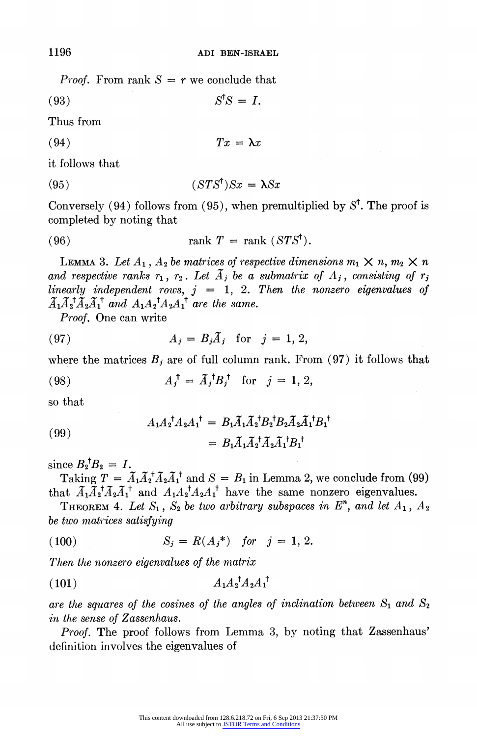*Proof.* From rank  $S = r$  we conclude that

(93)  $S^{\dagger}S = I$ .

Thus from

(94)  $Tx = \lambda x$ 

it follows that

(95)  $(STS^{\dagger})Sx = \lambda Sx$ 

Conversely (94) follows from (95), when premultiplied by  $S^{\dagger}$ . The proof is completed by noting that

(96) 
$$
\operatorname{rank} T = \operatorname{rank} (STS^{\dagger}).
$$

LEMMA 3. Let  $A_1$ ,  $A_2$  be matrices of respective dimensions  $m_1 \times n$ ,  $m_2 \times n$ and respective ranks  $r_1$ ,  $r_2$ . Let  $\tilde{A}_j$  be a submatrix of  $A_j$ , consisting of  $r_j$ linearly independent rows,  $j = 1, 2$ . Then the nonzero eigenvalues of  $A_1A_2^{\mathsf{T}}A_2A_1^{\mathsf{T}}$  and  $A_1A_2^{\mathsf{T}}A_2A_1^{\mathsf{T}}$  are the same.

Proof. One can write

$$
(97) \t\t A_j = B_j \tilde{A}_j \tfor j = 1, 2,
$$

where the matrices  $B_j$  are of full column rank. From (97) it follows that

(98) 
$$
A_j^{\dagger} = \tilde{A}_j^{\dagger} B_j^{\dagger}
$$
 for  $j = 1, 2,$ 

so that

(99) 
$$
A_1 A_2^{\dagger} A_2 A_1^{\dagger} = B_1 \widetilde{A}_1 \widetilde{A}_2^{\dagger} B_2^{\dagger} B_2 \widetilde{A}_2 \widetilde{A}_1^{\dagger} B_1^{\dagger} = B_1 \widetilde{A}_1 \widetilde{A}_2^{\dagger} \widetilde{A}_2 \widetilde{A}_1^{\dagger} B_1^{\dagger}
$$

since  $B_2^{\dagger}B_2 = I$ .

Taking  $T = \tilde{A}_1 \tilde{A}_2^{\dagger} \tilde{A}_2 \tilde{A}_1^{\dagger}$  and  $S = B_1$  in Lemma 2, we conclude from (99) that  $\tilde{A}_1\tilde{A}_2^{\dagger}\tilde{A}_2\tilde{A}_1^{\dagger}$  and  $A_1A_2^{\dagger}A_2A_1^{\dagger}$  have the same nonzero eigenvalues.

THEOREM 4. Let  $S_1$ ,  $S_2$  be two arbitrary subspaces in  $E<sup>n</sup>$ , and let  $A_1$ ,  $A_2$ be two matrices satisfying

(100) 
$$
S_j = R(A_j^*) \text{ for } j = 1, 2.
$$

Then the nonzero eigenvalues of the matrix

$$
(101) \t\t A_1 A_2^{\dagger} A_2 A_1^{\dagger}
$$

are the squares of the cosines of the angles of inclination between  $S_1$  and  $S_2$ in the sense of Zassenhaus.

Proof. The proof follows from Lemma 3, by noting that Zassenhaus' definition involves the eigenvalues of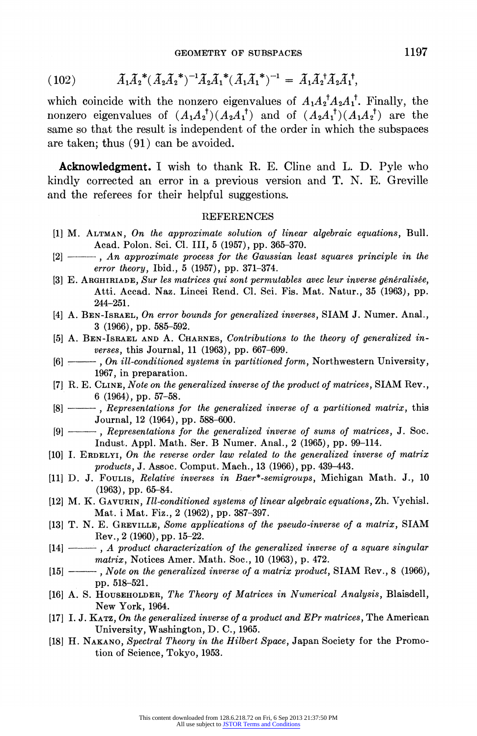$$
(102) \qquad \tilde{A}_1 \tilde{A}_2^* (\tilde{A}_2 \tilde{A}_2^*)^{-1} \tilde{A}_2 \tilde{A}_1^* (\tilde{A}_1 \tilde{A}_1^*)^{-1} = \tilde{A}_1 \tilde{A}_2^* \tilde{A}_2 \tilde{A}_1^*,
$$

which coincide with the nonzero eigenvalues of  $A_1A_2^{\dagger}A_2A_1^{\dagger}$ . Finally, the nonzero eigenvalues of  $(A_1A_2^{\dagger}) (A_2A_1^{\dagger})$  and of  $(A_2A_1^{\dagger}) (A_1A_2^{\dagger})$  are the same so that the result is independent of the order in which the subspaces are taken; thus (91) can be avoided.

Acknowledgment. I wish to thank R. E. Cline and L. D. Pyle who kindly corrected an error in a previous version and T. N. E. Greville and the referees for their helpful suggestions.

## REFERENCES

- [1] M. ALTMAN, On the approximate solution of linear algebraic equations, Bull. Acad. Polon. Sci. Cl. III, 5 (1957), pp. 365-370.
- $[2]$   $\longrightarrow$ , An approximate process for the Gaussian least squares principle in the error theory, Ibid., 5 (1957), pp. 371-374.
- [3] E. ARGHIRIADE, Sur les matrices qui sont permutables avec leur inverse généralisée, Atti. Accad. Naz. Lincei Rend. Cl. Sci. Fis. Mat. Natur., 35 (1963), pp. 244-251.
- [4] A. BEN-ISRAEL, On error bounds for generalized inverses, SIAM J. Numer. Anal., 3 (1966), pp. 585-592.
- [5] A. BEN-ISRAEL AND A. CHARNES, Contributions to the theory of generalized inverses, this Journal, 11 (1963), pp. 667-699.
- [6]  $\longrightarrow$ , On ill-conditioned systems in partitioned form, Northwestern University, 1967, in preparation.
- [71 R. E. CLINE, Note on the generalized inverse of the product of matrices, SIAM Rev., 6 (1964), pp. 57-58.
- $[8]$   $\longrightarrow$ , Representations for the generalized inverse of a partitioned matrix, this Journal, 12 (1964), pp. 588-600.
- [9]  $\longrightarrow$ , Representations for the generalized inverse of sums of matrices, J. Soc. Indust. Appl. Math. Ser. B Numer. Anal., 2 (1965), pp. 99-114.
- [10] I. ERDELYI, On the reverse order law related to the generalized inverse of matrix products, J. Assoc. Comput. Mach., 13 (1966), pp. 439-443.
- [111 D. J. FOULIS, Relative inverses in Baer\*-semigroups, Michigan Math. J., 10 (1963), pp. 65-84.
- [12] M. K. GAVURIN, Ill-conditioned systems of linear algebraic equations, Zh. Vychisl. Mat. i Mat. Fiz., 2 (1962), pp. 387-397.
- [131 T. N. E. GREVILLE, Some applications of the pseudo-inverse of a matrix, SIAM Rev., 2 (1960), pp. 15-22.
- $[14]$   $\longrightarrow$ , A product characterization of the generalized inverse of a square singular matrix, Notices Amer. Math. Soc., 10 (1963), p. 472.
- $[15]$   $\longrightarrow$ , Note on the generalized inverse of a matrix product, SIAM Rev., 8 (1966), pp. 518-521.
- [16] A. S. HOUSEHOLDER, The Theory of Matrices in Numerical Analysis, Blaisdell, New York, 1964.
- [17] I. J. KATZ, On the generalized inverse of a product and EPr matrices, The American University, Washington, D. C., 1965.
- [18] H. NAKANO, Spectral Theory in the Hilbert Space, Japan Society for the Promotion of Science, Tokyo, 1953.